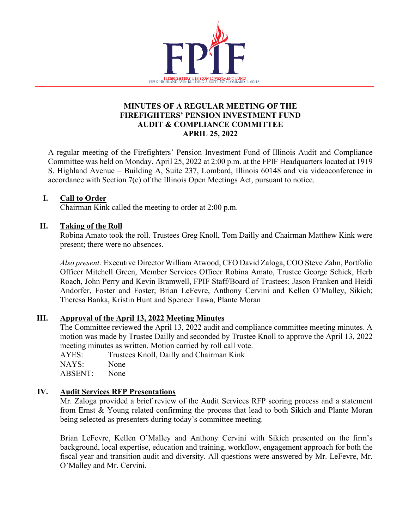

#### **MINUTES OF A REGULAR MEETING OF THE FIREFIGHTERS' PENSION INVESTMENT FUND AUDIT & COMPLIANCE COMMITTEE APRIL 25, 2022**

A regular meeting of the Firefighters' Pension Investment Fund of Illinois Audit and Compliance Committee was held on Monday, April 25, 2022 at 2:00 p.m. at the FPIF Headquarters located at 1919 S. Highland Avenue – Building A, Suite 237, Lombard, Illinois 60148 and via videoconference in accordance with Section 7(e) of the Illinois Open Meetings Act, pursuant to notice.

## **I. Call to Order**

Chairman Kink called the meeting to order at 2:00 p.m.

### **II. Taking of the Roll**

Robina Amato took the roll. Trustees Greg Knoll, Tom Dailly and Chairman Matthew Kink were present; there were no absences.

*Also present:* Executive Director William Atwood, CFO David Zaloga, COO Steve Zahn, Portfolio Officer Mitchell Green, Member Services Officer Robina Amato, Trustee George Schick, Herb Roach, John Perry and Kevin Bramwell, FPIF Staff/Board of Trustees; Jason Franken and Heidi Andorfer, Foster and Foster; Brian LeFevre, Anthony Cervini and Kellen O'Malley, Sikich; Theresa Banka, Kristin Hunt and Spencer Tawa, Plante Moran

### **III. Approval of the April 13, 2022 Meeting Minutes**

The Committee reviewed the April 13, 2022 audit and compliance committee meeting minutes. A motion was made by Trustee Dailly and seconded by Trustee Knoll to approve the April 13, 2022 meeting minutes as written. Motion carried by roll call vote.

AYES: Trustees Knoll, Dailly and Chairman Kink NAYS: None ABSENT: None

## **IV. Audit Services RFP Presentations**

Mr. Zaloga provided a brief review of the Audit Services RFP scoring process and a statement from Ernst & Young related confirming the process that lead to both Sikich and Plante Moran being selected as presenters during today's committee meeting.

Brian LeFevre, Kellen O'Malley and Anthony Cervini with Sikich presented on the firm's background, local expertise, education and training, workflow, engagement approach for both the fiscal year and transition audit and diversity. All questions were answered by Mr. LeFevre, Mr. O'Malley and Mr. Cervini.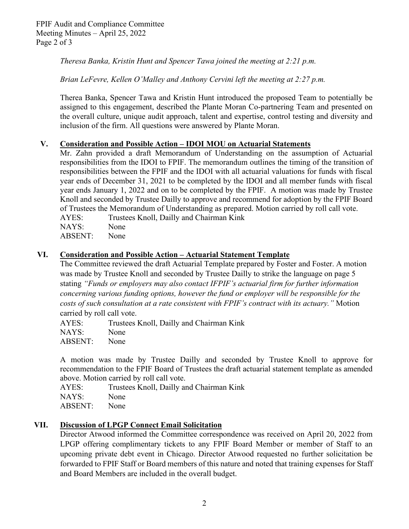*Theresa Banka, Kristin Hunt and Spencer Tawa joined the meeting at 2:21 p.m.*

*Brian LeFevre, Kellen O'Malley and Anthony Cervini left the meeting at 2:27 p.m.* 

Therea Banka, Spencer Tawa and Kristin Hunt introduced the proposed Team to potentially be assigned to this engagement, described the Plante Moran Co-partnering Team and presented on the overall culture, unique audit approach, talent and expertise, control testing and diversity and inclusion of the firm. All questions were answered by Plante Moran.

### **V. Consideration and Possible Action – IDOI MOU on Actuarial Statements**

Mr. Zahn provided a draft Memorandum of Understanding on the assumption of Actuarial responsibilities from the IDOI to FPIF. The memorandum outlines the timing of the transition of responsibilities between the FPIF and the IDOI with all actuarial valuations for funds with fiscal year ends of December 31, 2021 to be completed by the IDOI and all member funds with fiscal year ends January 1, 2022 and on to be completed by the FPIF. A motion was made by Trustee Knoll and seconded by Trustee Dailly to approve and recommend for adoption by the FPIF Board of Trustees the Memorandum of Understanding as prepared. Motion carried by roll call vote.

AYES: Trustees Knoll, Dailly and Chairman Kink NAYS: None

ABSENT: None

## **VI. Consideration and Possible Action – Actuarial Statement Template**

The Committee reviewed the draft Actuarial Template prepared by Foster and Foster. A motion was made by Trustee Knoll and seconded by Trustee Dailly to strike the language on page 5 stating *"Funds or employers may also contact IFPIF's actuarial firm for further information concerning various funding options, however the fund or employer will be responsible for the costs of such consultation at a rate consistent with FPIF's contract with its actuary."* Motion carried by roll call vote.

| AYES:        | Trustees Knoll, Dailly and Chairman Kink |
|--------------|------------------------------------------|
| NAYS:        | None                                     |
| ABSENT: None |                                          |

A motion was made by Trustee Dailly and seconded by Trustee Knoll to approve for recommendation to the FPIF Board of Trustees the draft actuarial statement template as amended above. Motion carried by roll call vote.

| Trustees Knoll, Dailly and Chairman Kink |
|------------------------------------------|
| None                                     |
| ABSENT: None                             |
|                                          |

## **VII. Discussion of LPGP Connect Email Solicitation**

Director Atwood informed the Committee correspondence was received on April 20, 2022 from LPGP offering complimentary tickets to any FPIF Board Member or member of Staff to an upcoming private debt event in Chicago. Director Atwood requested no further solicitation be forwarded to FPIF Staff or Board members of this nature and noted that training expenses for Staff and Board Members are included in the overall budget.